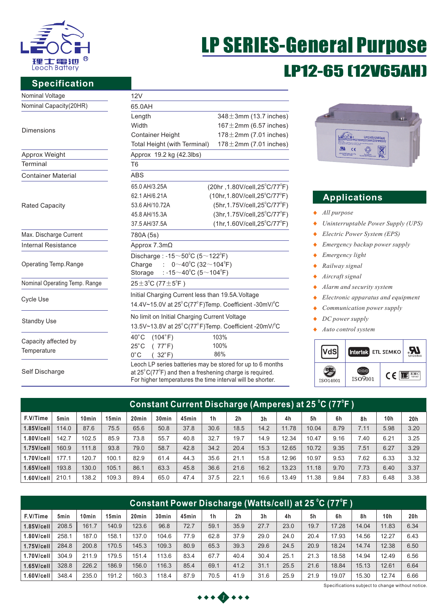

# LP SERIES-General Purpose LP12-65 (12V65AH)

### **Specification**

| Nominal Voltage               | 12V                                                                          |                                                            |  |  |  |  |  |  |  |
|-------------------------------|------------------------------------------------------------------------------|------------------------------------------------------------|--|--|--|--|--|--|--|
| Nominal Capacity(20HR)        | 65.0AH                                                                       |                                                            |  |  |  |  |  |  |  |
|                               | Length                                                                       | $348 \pm 3$ mm (13.7 inches)                               |  |  |  |  |  |  |  |
| <b>Dimensions</b>             | Width                                                                        | $167 \pm 2$ mm (6.57 inches)                               |  |  |  |  |  |  |  |
|                               | <b>Container Height</b>                                                      | $178 \pm 2$ mm (7.01 inches)                               |  |  |  |  |  |  |  |
|                               | Total Height (with Terminal)                                                 | $178 \pm 2$ mm (7.01 inches)                               |  |  |  |  |  |  |  |
| Approx Weight                 | Approx 19.2 kg (42.3lbs)                                                     |                                                            |  |  |  |  |  |  |  |
| Terminal                      | T <sub>6</sub>                                                               |                                                            |  |  |  |  |  |  |  |
| <b>Container Material</b>     | <b>ABS</b>                                                                   |                                                            |  |  |  |  |  |  |  |
|                               | 65.0 AH/3.25A                                                                | $(20hr, 1.80V/cell, 25^{\circ}C/77^{\circ}F)$              |  |  |  |  |  |  |  |
|                               | 62.1 AH/6.21A                                                                | $(10hr, 1.80V/cell, 25^{\circ}C/77^{\circ}F)$              |  |  |  |  |  |  |  |
| <b>Rated Capacity</b>         | 53.6 AH/10.72A                                                               | (5hr, 1.75V/cell, 25°C/77°F)                               |  |  |  |  |  |  |  |
|                               | 45.8 AH/15.3A                                                                | $(3hr, 1.75V/cell, 25^{\circ}C/77^{\circ}F)$               |  |  |  |  |  |  |  |
|                               | 37.5 AH/37.5A                                                                | $(1hr, 1.60V/cell, 25^{\circ}C/77^{\circ}F)$               |  |  |  |  |  |  |  |
| Max. Discharge Current        | 780A (5s)                                                                    |                                                            |  |  |  |  |  |  |  |
| <b>Internal Resistance</b>    | Approx $7.3m\Omega$                                                          |                                                            |  |  |  |  |  |  |  |
|                               | Discharge: -15 $\sim$ 50°C (5 $\sim$ 122°F)                                  |                                                            |  |  |  |  |  |  |  |
| Operating Temp.Range          | Charge : $0 \sim 40^{\circ}$ C (32 ~ 104 <sup>°</sup> F)                     |                                                            |  |  |  |  |  |  |  |
|                               | Storage : -15 $\sim$ 40°C (5 $\sim$ 104°F)                                   |                                                            |  |  |  |  |  |  |  |
| Nominal Operating Temp. Range | $25 \pm 3^{\circ}$ C (77 $\pm 5^{\circ}$ F)                                  |                                                            |  |  |  |  |  |  |  |
|                               | Initial Charging Current less than 19.5A. Voltage                            |                                                            |  |  |  |  |  |  |  |
| <b>Cycle Use</b>              | 14.4V~15.0V at 25°C(77°F)Temp. Coefficient -30mV/°C                          |                                                            |  |  |  |  |  |  |  |
|                               | No limit on Initial Charging Current Voltage                                 |                                                            |  |  |  |  |  |  |  |
| <b>Standby Use</b>            | 13.5V~13.8V at 25°C(77°F)Temp. Coefficient -20mV/°C                          |                                                            |  |  |  |  |  |  |  |
|                               | $40^{\circ}$ C<br>(104°F)                                                    | 103%                                                       |  |  |  |  |  |  |  |
| Capacity affected by          | $25^{\circ}$ C<br>(77°F)                                                     | 100%                                                       |  |  |  |  |  |  |  |
| Temperature                   | $0^{\circ}$ C<br>$32^{\circ}$ F)                                             | 86%                                                        |  |  |  |  |  |  |  |
| Self Discharge                | at $25^{\circ}$ C(77 $^{\circ}$ F) and then a freshening charge is required. | Leoch LP series batteries may be stored for up to 6 months |  |  |  |  |  |  |  |

For higher temperatures the time interval will be shorter.



## **Applications**

- *All purpose*
- *Uninterruptable Power Supply (UPS)*  $\blacklozenge$
- *Electric Power System (EPS)*  $\blacklozenge$
- $\ddot{\bullet}$ *Emergency backup power supply*
- *Emergency light*  ٠
- *Railway signal*   $\ddot{\bullet}$
- *Aircraft signal*  $\ddot{\bullet}$
- *Alarm and security system*  $\ddot{\bullet}$
- *Electronic apparatus and equipment*  $\bullet$
- *Communication power supply*  $\bullet$
- $\blacklozenge$ *DC power supply*
- *Auto control system*



| Constant Current Discharge (Amperes) at 25 °C (77°F ) |       |                   |                   |                   |                   |       |                |                |                |       |       |      |      |                 |      |
|-------------------------------------------------------|-------|-------------------|-------------------|-------------------|-------------------|-------|----------------|----------------|----------------|-------|-------|------|------|-----------------|------|
| F.V/Time                                              | 5min  | 10 <sub>min</sub> | 15 <sub>min</sub> | 20 <sub>min</sub> | 30 <sub>min</sub> | 45min | 1 <sub>h</sub> | 2 <sub>h</sub> | 3 <sub>h</sub> | 4h    | 5h    | 6h   | 8h   | 10 <sub>h</sub> | 20h  |
| $1.85$ V/cell                                         | 114.0 | 87.6              | 75.5              | 65.6              | 50.8              | 37.8  | 30.6           | 18.5           | 14.2           | 11.78 | 10.04 | 8.79 | 7.11 | 5.98            | 3.20 |
| 1.80V/cell                                            | 142.7 | 102.5             | 85.9              | 73.8              | 55.7              | 40.8  | 32.7           | 19.7           | 14.9           | 12.34 | 10.47 | 9.16 | 7.40 | 6.21            | 3.25 |
| $1.75$ V/cell                                         | 160.9 | 111.8             | 93.8              | 79.0              | 58.7              | 42.8  | 34.2           | 20.4           | 15.3           | 12.65 | 10.72 | 9.35 | 7.51 | 6.27            | 3.29 |
| 1.70V/cell                                            | 177.1 | 120.7             | 100.1             | 82.9              | 61.4              | 44.3  | 35.6           | 21.1           | 15.8           | 12.96 | 10.97 | 9.53 | 7.62 | 6.33            | 3.32 |
| $1.65$ V/cell                                         | 193.8 | 130.0             | 105.1             | 86.1              | 63.3              | 45.8  | 36.6           | 21.6           | 16.2           | 13.23 | 11.18 | 9.70 | 7.73 | 6.40            | 3.37 |
| 1.60V/cell                                            | 210.1 | 138.2             | 109.3             | 89.4              | 65.0              | 47.4  | 37.5           | 22.1           | 16.6           | 13.49 | 11.38 | 9.84 | 7.83 | 6.48            | 3.38 |

| Constant Power Dis <u>charge (Watts/cell) at 25 °C (77°F )</u> |       |                   |                   |                   |                   |       |                |                |                |      |      |       |       |                 |      |
|----------------------------------------------------------------|-------|-------------------|-------------------|-------------------|-------------------|-------|----------------|----------------|----------------|------|------|-------|-------|-----------------|------|
| F.V/Time                                                       | 5min  | 10 <sub>min</sub> | 15 <sub>min</sub> | 20 <sub>min</sub> | 30 <sub>min</sub> | 45min | 1 <sub>h</sub> | 2 <sub>h</sub> | 3 <sub>h</sub> | 4h   | 5h   | 6h    | 8h    | 10 <sub>h</sub> | 20h  |
| $1.85$ V/cell                                                  | 208.5 | 161.7             | 140.9             | 123.6             | 96.8              | 72.7  | 59.1           | 35.9           | 27.7           | 23.0 | 19.7 | 17.28 | 14.04 | 11.83           | 6.34 |
| $1.80$ V/cell                                                  | 258.1 | 187.0             | 158.1             | 137.0             | 104.6             | 77.9  | 62.8           | 37.9           | 29.0           | 24.0 | 20.4 | 17.93 | 14.56 | 12.27           | 6.43 |
| $1.75$ V/cell                                                  | 284.8 | 200.8             | 170.5             | 145.3             | 109.3             | 80.9  | 65.3           | 39.3           | 29.6           | 24.5 | 20.9 | 18.24 | 14.74 | 12.38           | 6.50 |
| 1.70V/cell                                                     | 304.9 | 211.9             | 179.5             | 151.4             | 113.6             | 83.4  | 67.7           | 40.4           | 30.4           | 25.1 | 21.3 | 18.58 | 14.94 | 12.49           | 6.56 |
| $1.65$ V/cell                                                  | 328.8 | 226.2             | 186.9             | 156.0             | 116.3             | 85.4  | 69.1           | 41.2           | 31.1           | 25.5 | 21.6 | 18.84 | 15.13 | 12.61           | 6.64 |
| $1.60$ V/cell                                                  | 348.4 | 235.0             | 191.2             | 160.3             | 118.4             | 87.9  | 70.5           | 41.9           | 31.6           | 25.9 | 21.9 | 19.07 | 15.30 | 12.74           | 6.66 |



Specifications subject to change without notice.